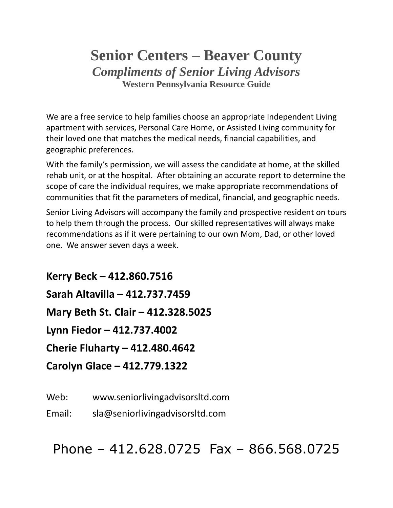# **Senior Centers – Beaver County** *Compliments of Senior Living Advisors* **Western Pennsylvania Resource Guide**

We are a free service to help families choose an appropriate Independent Living apartment with services, Personal Care Home, or Assisted Living community for their loved one that matches the medical needs, financial capabilities, and geographic preferences.

With the family's permission, we will assess the candidate at home, at the skilled rehab unit, or at the hospital. After obtaining an accurate report to determine the scope of care the individual requires, we make appropriate recommendations of communities that fit the parameters of medical, financial, and geographic needs.

Senior Living Advisors will accompany the family and prospective resident on tours to help them through the process. Our skilled representatives will always make recommendations as if it were pertaining to our own Mom, Dad, or other loved one. We answer seven days a week.

**Kerry Beck – 412.860.7516 Sarah Altavilla – 412.737.7459 Mary Beth St. Clair – 412.328.5025 Lynn Fiedor – 412.737.4002 Cherie Fluharty – 412.480.4642 Carolyn Glace – 412.779.1322**

Web: www.seniorlivingadvisorsltd.com

Email: sla@seniorlivingadvisorsltd.com

Phone – 412.628.0725 Fax – 866.568.0725